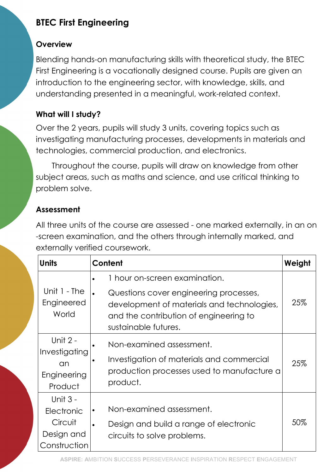# BTEC First Engineering

### **Overview**

Blending hands-on manufacturing skills with theoretical study, the BTEC First Engineering is a vocationally designed course. Pupils are given an introduction to the engineering sector, with knowledge, skills, and understanding presented in a meaningful, work-related context.

### What will I study?

Over the 2 years, pupils will study 3 units, covering topics such as investigating manufacturing processes, developments in materials and technologies, commercial production, and electronics.

Throughout the course, pupils will draw on knowledge from other subject areas, such as maths and science, and use critical thinking to problem solve.

## Assessment

All three units of the course are assessed - one marked externally, in an on -screen examination, and the others through internally marked, and externally verified coursework.

| Units                                                           | Content                                                                                                                                                                                              | Weight |
|-----------------------------------------------------------------|------------------------------------------------------------------------------------------------------------------------------------------------------------------------------------------------------|--------|
| Unit $1 - The$<br>Engineered<br>World                           | 1 hour on-screen examination.<br>$\bullet$<br>Questions cover engineering processes,<br>development of materials and technologies,<br>and the contribution of engineering to<br>sustainable futures. | 25%    |
| Unit 2 -<br>Investigating<br>an<br>Engineering<br>Product       | Non-examined assessment.<br>Investigation of materials and commercial<br>$\bullet$<br>production processes used to manufacture a<br>product.                                                         | 25%    |
| Unit 3 -<br>Electronic<br>Circuit<br>Design and<br>Construction | Non-examined assessment.<br>$\bullet$<br>Design and build a range of electronic<br>$\bullet$<br>circuits to solve problems.                                                                          | 50%    |